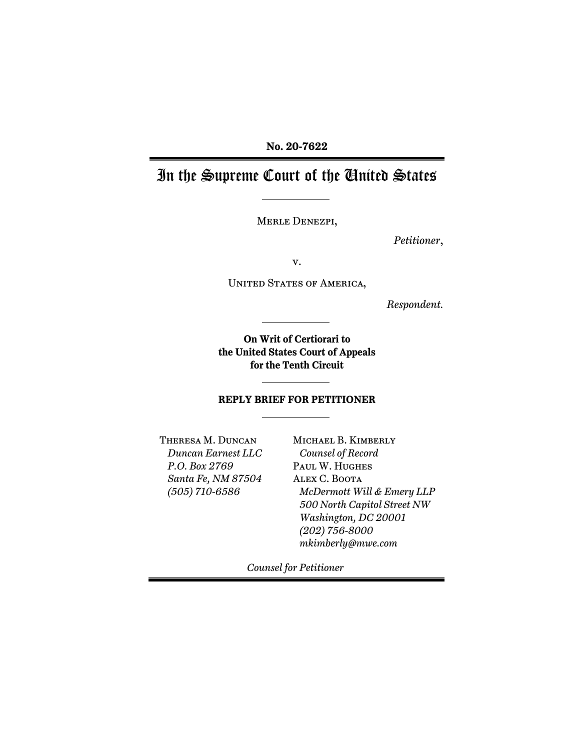## **No. 20-7622**

# In the Supreme Court of the United States

Merle Denezpi,

*Petitioner*,

v.

UNITED STATES OF AMERICA,

*Respondent.* 

**On Writ of Certiorari to the United States Court of Appeals for the Tenth Circuit** 

#### **REPLY BRIEF FOR PETITIONER**

Theresa M. Duncan *Duncan Earnest LLC P.O. Box 2769 Santa Fe, NM 87504 (505) 710-6586* 

Michael B. Kimberly *Counsel of Record*  Paul W. Hughes Alex C. Boota *McDermott Will & Emery LLP 500 North Capitol Street NW Washington, DC 20001 (202) 756-8000 mkimberly@mwe.com* 

*Counsel for Petitioner*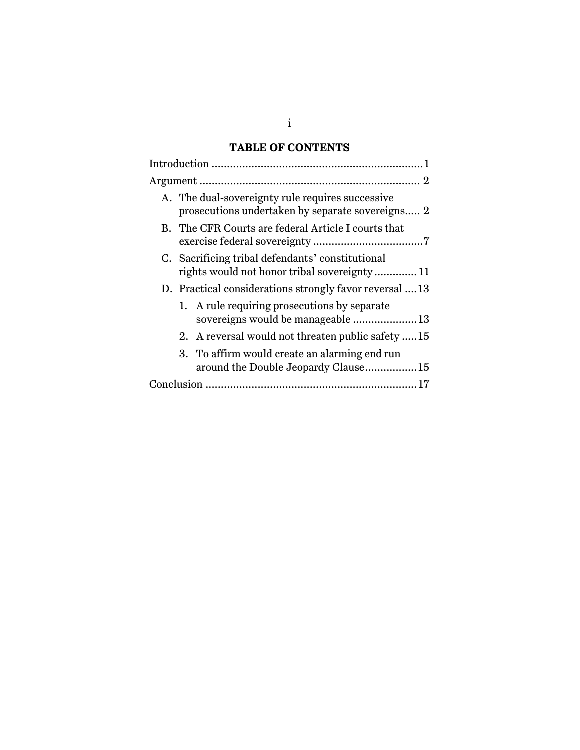## **TABLE OF CONTENTS**

|  | A. The dual-sovereignty rule requires successive<br>prosecutions undertaken by separate sovereigns 2 |  |  |
|--|------------------------------------------------------------------------------------------------------|--|--|
|  | B. The CFR Courts are federal Article I courts that                                                  |  |  |
|  | C. Sacrificing tribal defendants' constitutional<br>rights would not honor tribal sovereignty 11     |  |  |
|  | D. Practical considerations strongly favor reversal  13                                              |  |  |
|  | 1. A rule requiring prosecutions by separate<br>sovereigns would be manageable 13                    |  |  |
|  | 2. A reversal would not threaten public safety 15                                                    |  |  |
|  | 3. To affirm would create an alarming end run<br>around the Double Jeopardy Clause15                 |  |  |
|  |                                                                                                      |  |  |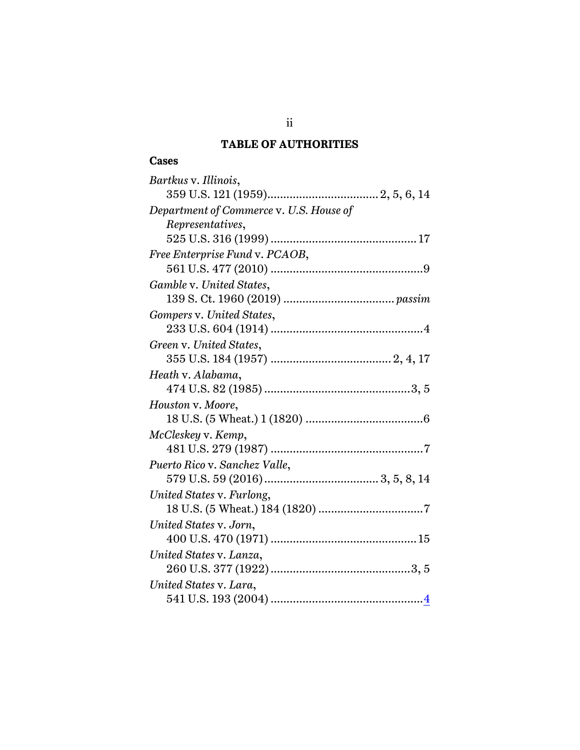## **TABLE OF AUTHORITIES**

### **Cases**

| Bartkus v. Illinois,                    |  |  |  |
|-----------------------------------------|--|--|--|
|                                         |  |  |  |
| Department of Commerce v. U.S. House of |  |  |  |
| Representatives,                        |  |  |  |
|                                         |  |  |  |
| Free Enterprise Fund v. PCAOB,          |  |  |  |
|                                         |  |  |  |
| Gamble v. United States,                |  |  |  |
|                                         |  |  |  |
| Gompers v. United States,               |  |  |  |
|                                         |  |  |  |
| Green v. United States,                 |  |  |  |
|                                         |  |  |  |
| Heath v. Alabama,                       |  |  |  |
|                                         |  |  |  |
| Houston v. Moore,                       |  |  |  |
|                                         |  |  |  |
| McCleskey v. Kemp,                      |  |  |  |
|                                         |  |  |  |
| Puerto Rico v. Sanchez Valle,           |  |  |  |
|                                         |  |  |  |
| United States v. Furlong,               |  |  |  |
|                                         |  |  |  |
| United States v. Jorn,                  |  |  |  |
|                                         |  |  |  |
| United States v. Lanza,                 |  |  |  |
|                                         |  |  |  |
| United States v. Lara,                  |  |  |  |
|                                         |  |  |  |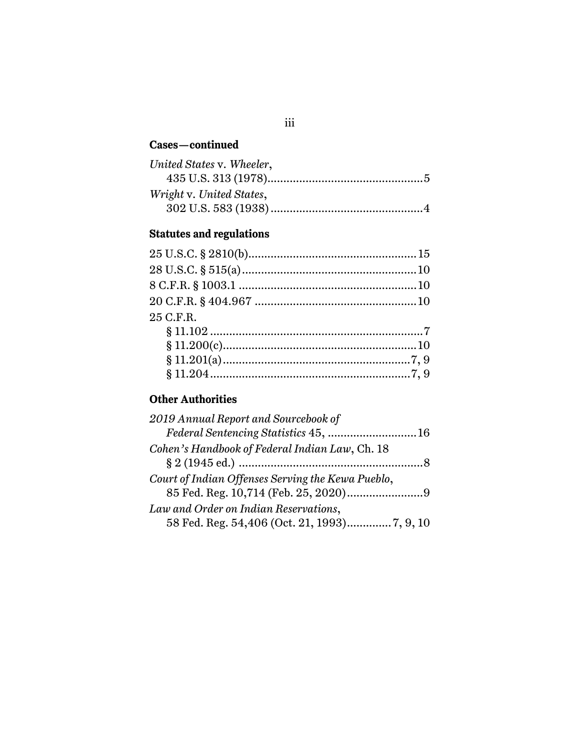## **Cases—continued**

| United States v. Wheeler, |  |
|---------------------------|--|
|                           |  |
| Wright v. United States,  |  |
|                           |  |

## **Statutes and regulations**

| 25 C.F.R. |  |
|-----------|--|
|           |  |
|           |  |
|           |  |
|           |  |

## **Other Authorities**

| 2019 Annual Report and Sourcebook of              |  |
|---------------------------------------------------|--|
| Federal Sentencing Statistics 45, 16              |  |
| Cohen's Handbook of Federal Indian Law, Ch. 18    |  |
|                                                   |  |
| Court of Indian Offenses Serving the Kewa Pueblo, |  |
| 85 Fed. Reg. 10,714 (Feb. 25, 2020)9              |  |
| Law and Order on Indian Reservations,             |  |
|                                                   |  |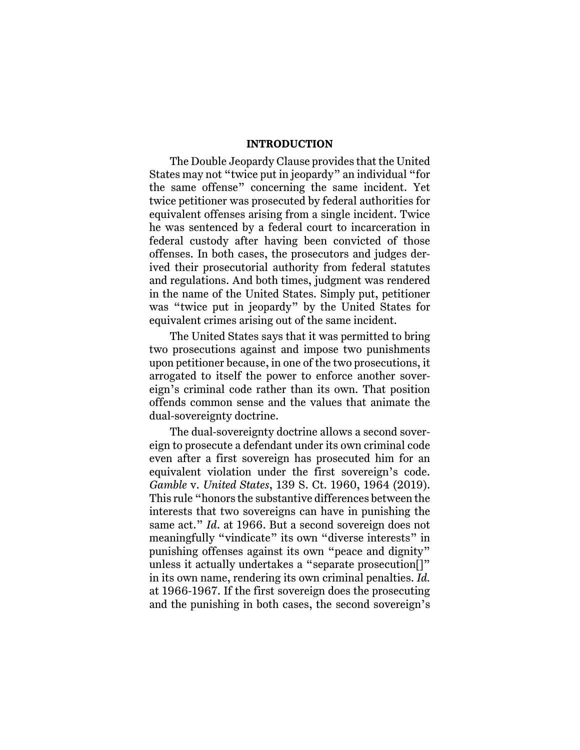#### **INTRODUCTION**

The Double Jeopardy Clause provides that the United States may not "twice put in jeopardy" an individual "for the same offense" concerning the same incident. Yet twice petitioner was prosecuted by federal authorities for equivalent offenses arising from a single incident. Twice he was sentenced by a federal court to incarceration in federal custody after having been convicted of those offenses. In both cases, the prosecutors and judges derived their prosecutorial authority from federal statutes and regulations. And both times, judgment was rendered in the name of the United States. Simply put, petitioner was "twice put in jeopardy" by the United States for equivalent crimes arising out of the same incident.

The United States says that it was permitted to bring two prosecutions against and impose two punishments upon petitioner because, in one of the two prosecutions, it arrogated to itself the power to enforce another sovereign's criminal code rather than its own. That position offends common sense and the values that animate the dual-sovereignty doctrine.

The dual-sovereignty doctrine allows a second sovereign to prosecute a defendant under its own criminal code even after a first sovereign has prosecuted him for an equivalent violation under the first sovereign's code. *Gamble* v. *United States*, 139 S. Ct. 1960, 1964 (2019). This rule "honors the substantive differences between the interests that two sovereigns can have in punishing the same act." *Id*. at 1966. But a second sovereign does not meaningfully "vindicate" its own "diverse interests" in punishing offenses against its own "peace and dignity" unless it actually undertakes a "separate prosecution[]" in its own name, rendering its own criminal penalties. *Id.* at 1966-1967. If the first sovereign does the prosecuting and the punishing in both cases, the second sovereign's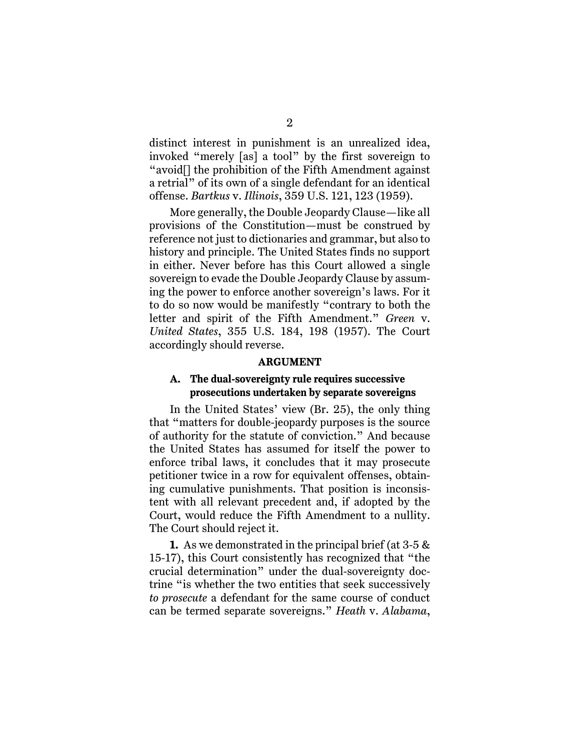distinct interest in punishment is an unrealized idea, invoked "merely [as] a tool" by the first sovereign to "avoid[] the prohibition of the Fifth Amendment against a retrial" of its own of a single defendant for an identical offense. *Bartkus* v. *Illinois*, 359 U.S. 121, 123 (1959).

More generally, the Double Jeopardy Clause—like all provisions of the Constitution—must be construed by reference not just to dictionaries and grammar, but also to history and principle. The United States finds no support in either. Never before has this Court allowed a single sovereign to evade the Double Jeopardy Clause by assuming the power to enforce another sovereign's laws. For it to do so now would be manifestly "contrary to both the letter and spirit of the Fifth Amendment." *Green* v. *United States*, 355 U.S. 184, 198 (1957). The Court accordingly should reverse.

#### **ARGUMENT**

### **A. The dual-sovereignty rule requires successive prosecutions undertaken by separate sovereigns**

In the United States' view (Br. 25), the only thing that "matters for double-jeopardy purposes is the source of authority for the statute of conviction." And because the United States has assumed for itself the power to enforce tribal laws, it concludes that it may prosecute petitioner twice in a row for equivalent offenses, obtaining cumulative punishments. That position is inconsistent with all relevant precedent and, if adopted by the Court, would reduce the Fifth Amendment to a nullity. The Court should reject it.

**1.** As we demonstrated in the principal brief (at 3-5 & 15-17), this Court consistently has recognized that "the crucial determination" under the dual-sovereignty doctrine "is whether the two entities that seek successively *to prosecute* a defendant for the same course of conduct can be termed separate sovereigns." *Heath* v. *Alabama*,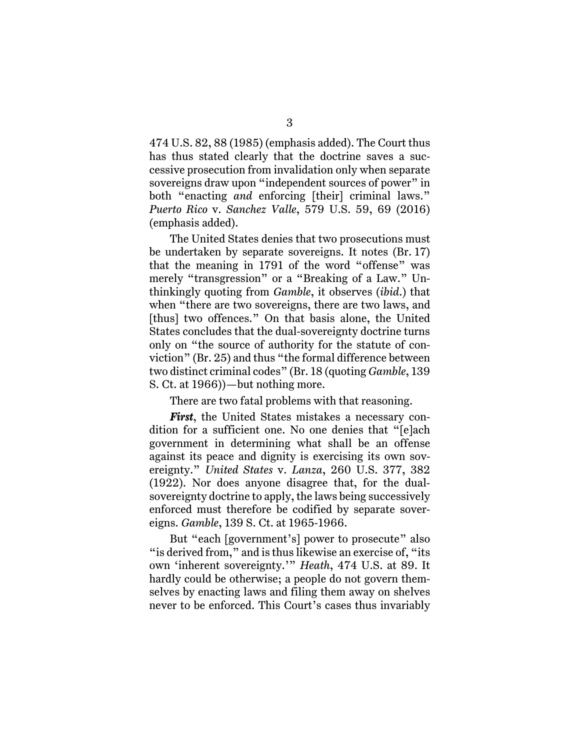474 U.S. 82, 88 (1985) (emphasis added). The Court thus has thus stated clearly that the doctrine saves a successive prosecution from invalidation only when separate sovereigns draw upon "independent sources of power" in both "enacting *and* enforcing [their] criminal laws." *Puerto Rico* v. *Sanchez Valle*, 579 U.S. 59, 69 (2016) (emphasis added).

The United States denies that two prosecutions must be undertaken by separate sovereigns. It notes (Br. 17) that the meaning in 1791 of the word "offense" was merely "transgression" or a "Breaking of a Law." Unthinkingly quoting from *Gamble*, it observes (*ibid*.) that when "there are two sovereigns, there are two laws, and [thus] two offences." On that basis alone, the United States concludes that the dual-sovereignty doctrine turns only on "the source of authority for the statute of conviction" (Br. 25) and thus "the formal difference between two distinct criminal codes" (Br. 18 (quoting *Gamble*, 139 S. Ct. at 1966))—but nothing more.

There are two fatal problems with that reasoning.

*First*, the United States mistakes a necessary condition for a sufficient one. No one denies that "[e]ach government in determining what shall be an offense against its peace and dignity is exercising its own sovereignty." *United States* v. *Lanza*, 260 U.S. 377, 382 (1922). Nor does anyone disagree that, for the dualsovereignty doctrine to apply, the laws being successively enforced must therefore be codified by separate sovereigns. *Gamble*, 139 S. Ct. at 1965-1966.

But "each [government's] power to prosecute" also " is derived from," and is thus likewise an exercise of, "its" own 'inherent sovereignty.'" *Heath*, 474 U.S. at 89. It hardly could be otherwise; a people do not govern themselves by enacting laws and filing them away on shelves never to be enforced. This Court's cases thus invariably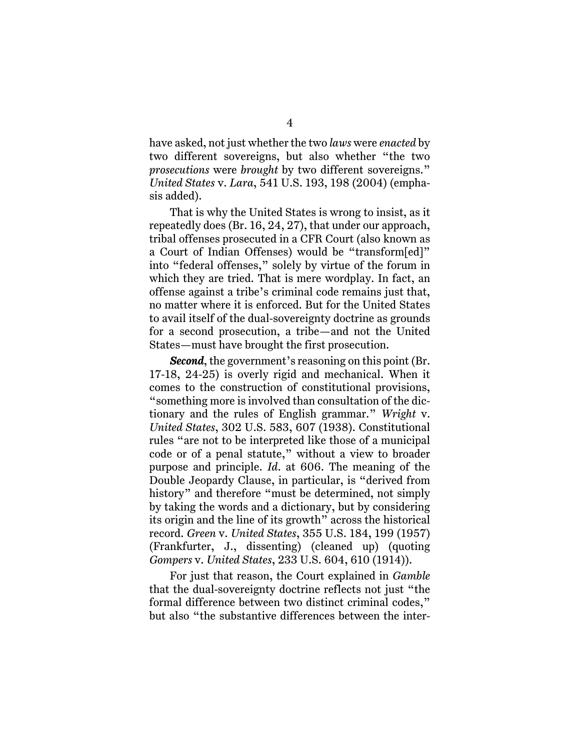have asked, not just whether the two *laws* were *enacted* by two different sovereigns, but also whether "the two *prosecutions* were *brought* by two different sovereigns." *United States* v. *Lara*, 541 U.S. 193, 198 (2004) (emphasis added).

That is why the United States is wrong to insist, as it repeatedly does (Br. 16, 24, 27), that under our approach, tribal offenses prosecuted in a CFR Court (also known as a Court of Indian Offenses) would be "transform[ed]" into "federal offenses," solely by virtue of the forum in which they are tried. That is mere wordplay. In fact, an offense against a tribe's criminal code remains just that, no matter where it is enforced. But for the United States to avail itself of the dual-sovereignty doctrine as grounds for a second prosecution, a tribe—and not the United States—must have brought the first prosecution.

*Second*, the government's reasoning on this point (Br. 17-18, 24-25) is overly rigid and mechanical. When it comes to the construction of constitutional provisions, "something more is involved than consultation of the dictionary and the rules of English grammar." *Wright* v. *United States*, 302 U.S. 583, 607 (1938). Constitutional rules "are not to be interpreted like those of a municipal code or of a penal statute," without a view to broader purpose and principle. *Id*. at 606. The meaning of the Double Jeopardy Clause, in particular, is "derived from history" and therefore "must be determined, not simply by taking the words and a dictionary, but by considering its origin and the line of its growth" across the historical record. *Green* v. *United States*, 355 U.S. 184, 199 (1957) (Frankfurter, J., dissenting) (cleaned up) (quoting *Gompers* v. *United States*, 233 U.S. 604, 610 (1914)).

For just that reason, the Court explained in *Gamble* that the dual-sovereignty doctrine reflects not just "the formal difference between two distinct criminal codes," but also "the substantive differences between the inter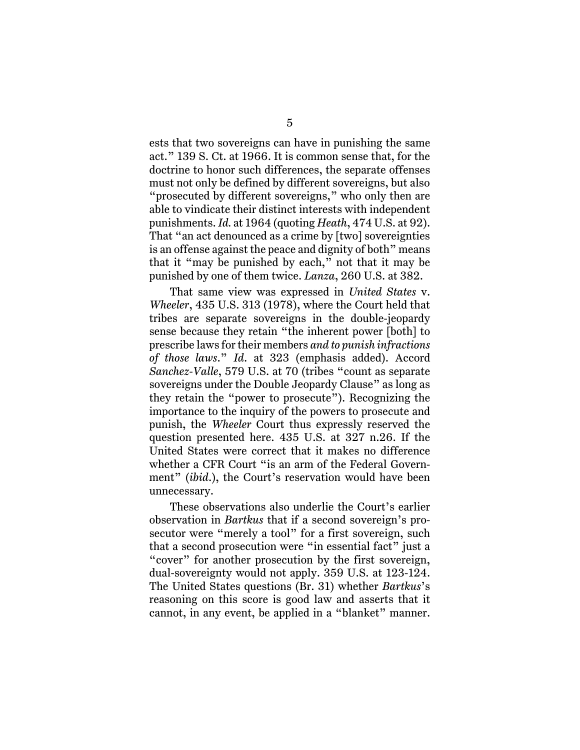ests that two sovereigns can have in punishing the same act." 139 S. Ct. at 1966. It is common sense that, for the doctrine to honor such differences, the separate offenses must not only be defined by different sovereigns, but also "prosecuted by different sovereigns," who only then are able to vindicate their distinct interests with independent punishments. *Id.* at 1964 (quoting *Heath*, 474 U.S. at 92). That "an act denounced as a crime by [two] sovereignties is an offense against the peace and dignity of both" means that it "may be punished by each," not that it may be punished by one of them twice. *Lanza*, 260 U.S. at 382.

That same view was expressed in *United States* v. *Wheeler*, 435 U.S. 313 (1978), where the Court held that tribes are separate sovereigns in the double-jeopardy sense because they retain "the inherent power [both] to prescribe laws for their members *and to punish infractions of those laws*." *Id*. at 323 (emphasis added). Accord *Sanchez-Valle*, 579 U.S. at 70 (tribes "count as separate sovereigns under the Double Jeopardy Clause" as long as they retain the "power to prosecute"). Recognizing the importance to the inquiry of the powers to prosecute and punish, the *Wheeler* Court thus expressly reserved the question presented here. 435 U.S. at 327 n.26. If the United States were correct that it makes no difference whether a CFR Court "is an arm of the Federal Government" (*ibid*.), the Court's reservation would have been unnecessary.

These observations also underlie the Court's earlier observation in *Bartkus* that if a second sovereign's prosecutor were "merely a tool" for a first sovereign, such that a second prosecution were "in essential fact" just a "cover" for another prosecution by the first sovereign, dual-sovereignty would not apply. 359 U.S. at 123-124. The United States questions (Br. 31) whether *Bartkus*'s reasoning on this score is good law and asserts that it cannot, in any event, be applied in a "blanket" manner.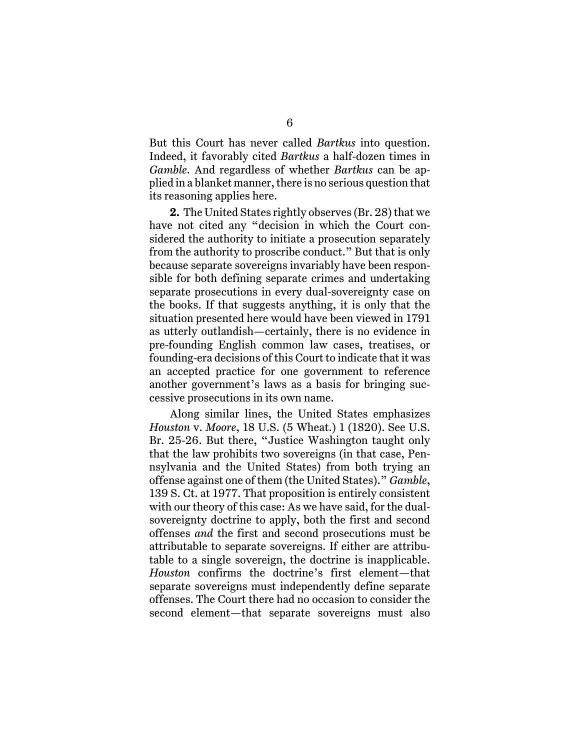But this Court has never called *Bartkus* into question. Indeed, it favorably cited *Bartkus* a half-dozen times in *Gamble*. And regardless of whether *Bartkus* can be applied in a blanket manner, there is no serious question that its reasoning applies here.

**2.** The United States rightly observes (Br. 28) that we have not cited any "decision in which the Court considered the authority to initiate a prosecution separately from the authority to proscribe conduct." But that is only because separate sovereigns invariably have been responsible for both defining separate crimes and undertaking separate prosecutions in every dual-sovereignty case on the books. If that suggests anything, it is only that the situation presented here would have been viewed in 1791 as utterly outlandish—certainly, there is no evidence in pre-founding English common law cases, treatises, or founding-era decisions of this Court to indicate that it was an accepted practice for one government to reference another government's laws as a basis for bringing successive prosecutions in its own name.

Along similar lines, the United States emphasizes *Houston* v. *Moore*, 18 U.S. (5 Wheat.) 1 (1820). See U.S. Br. 25-26. But there, "Justice Washington taught only that the law prohibits two sovereigns (in that case, Pennsylvania and the United States) from both trying an offense against one of them (the United States)." *Gamble*, 139 S. Ct. at 1977. That proposition is entirely consistent with our theory of this case: As we have said, for the dualsovereignty doctrine to apply, both the first and second offenses *and* the first and second prosecutions must be attributable to separate sovereigns. If either are attributable to a single sovereign, the doctrine is inapplicable. *Houston* confirms the doctrine's first element—that separate sovereigns must independently define separate offenses. The Court there had no occasion to consider the second element—that separate sovereigns must also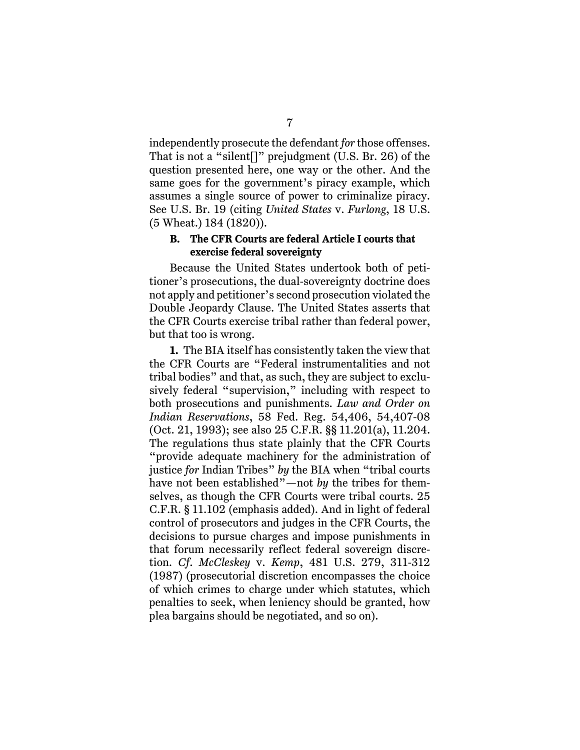independently prosecute the defendant *for* those offenses. That is not a "silent[]" prejudgment (U.S. Br. 26) of the question presented here, one way or the other. And the same goes for the government's piracy example, which assumes a single source of power to criminalize piracy. See U.S. Br. 19 (citing *United States* v. *Furlong*, 18 U.S. (5 Wheat.) 184 (1820)).

## **B. The CFR Courts are federal Article I courts that exercise federal sovereignty**

Because the United States undertook both of petitioner's prosecutions, the dual-sovereignty doctrine does not apply and petitioner's second prosecution violated the Double Jeopardy Clause. The United States asserts that the CFR Courts exercise tribal rather than federal power, but that too is wrong.

**1.** The BIA itself has consistently taken the view that the CFR Courts are "Federal instrumentalities and not tribal bodies" and that, as such, they are subject to exclusively federal "supervision," including with respect to both prosecutions and punishments. *Law and Order on Indian Reservations*, 58 Fed. Reg. 54,406, 54,407-08 (Oct. 21, 1993); see also 25 C.F.R. §§ 11.201(a), 11.204. The regulations thus state plainly that the CFR Courts "provide adequate machinery for the administration of justice *for* Indian Tribes" *by* the BIA when "tribal courts have not been established"—not *by* the tribes for themselves, as though the CFR Courts were tribal courts. 25 C.F.R. § 11.102 (emphasis added). And in light of federal control of prosecutors and judges in the CFR Courts, the decisions to pursue charges and impose punishments in that forum necessarily reflect federal sovereign discretion. *Cf*. *McCleskey* v. *Kemp*, 481 U.S. 279, 311-312 (1987) (prosecutorial discretion encompasses the choice of which crimes to charge under which statutes, which penalties to seek, when leniency should be granted, how plea bargains should be negotiated, and so on).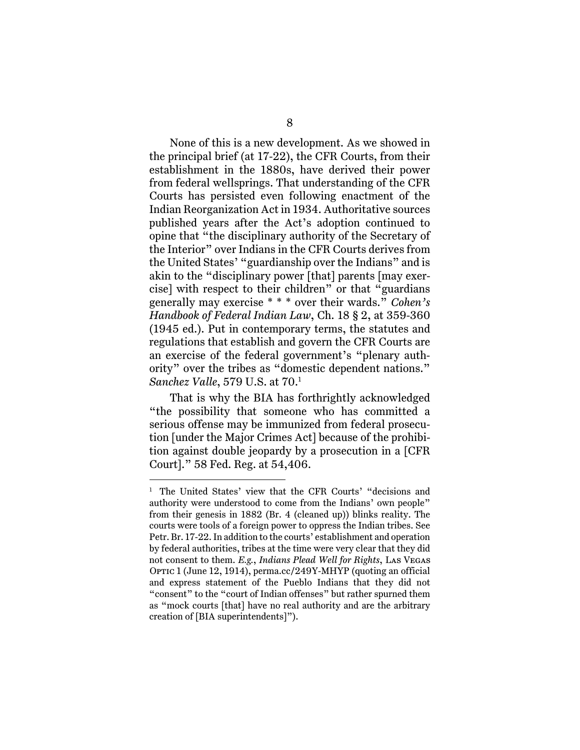None of this is a new development. As we showed in the principal brief (at 17-22), the CFR Courts, from their establishment in the 1880s, have derived their power from federal wellsprings. That understanding of the CFR Courts has persisted even following enactment of the Indian Reorganization Act in 1934. Authoritative sources published years after the Act's adoption continued to opine that "the disciplinary authority of the Secretary of the Interior" over Indians in the CFR Courts derives from the United States' "guardianship over the Indians" and is akin to the "disciplinary power [that] parents [may exercise] with respect to their children" or that "guardians generally may exercise \* \* \* over their wards." *Cohen's Handbook of Federal Indian Law*, Ch. 18 § 2, at 359-360 (1945 ed.). Put in contemporary terms, the statutes and regulations that establish and govern the CFR Courts are an exercise of the federal government's "plenary authority" over the tribes as "domestic dependent nations." *Sanchez Valle*, 579 U.S. at 70.1

That is why the BIA has forthrightly acknowledged "the possibility that someone who has committed a serious offense may be immunized from federal prosecution [under the Major Crimes Act] because of the prohibition against double jeopardy by a prosecution in a [CFR Court]." 58 Fed. Reg. at 54,406.

<sup>&</sup>lt;sup>1</sup> The United States' view that the CFR Courts' "decisions and authority were understood to come from the Indians' own people" from their genesis in 1882 (Br. 4 (cleaned up)) blinks reality. The courts were tools of a foreign power to oppress the Indian tribes. See Petr. Br. 17-22. In addition to the courts' establishment and operation by federal authorities, tribes at the time were very clear that they did not consent to them. *E.g.*, *Indians Plead Well for Rights*, Las Vegas OPTIC 1 (June 12, 1914), perma.cc/249Y-MHYP (quoting an official and express statement of the Pueblo Indians that they did not "consent" to the "court of Indian offenses" but rather spurned them as "mock courts [that] have no real authority and are the arbitrary creation of [BIA superintendents]").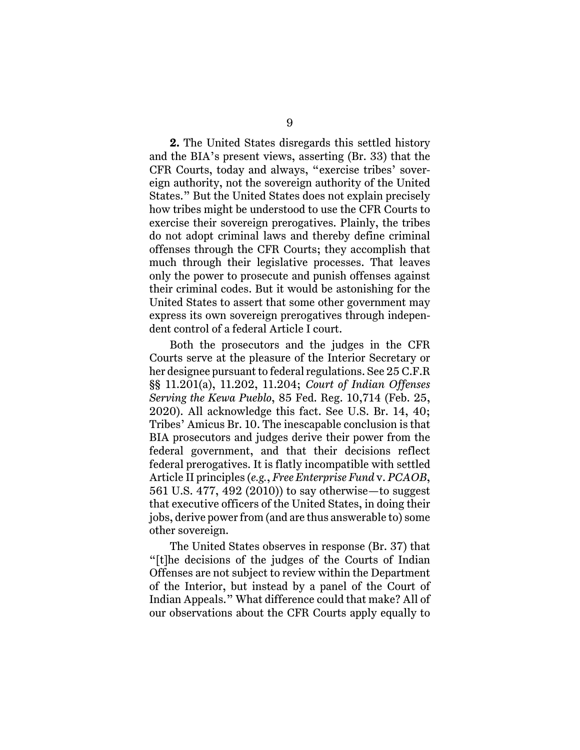**2.** The United States disregards this settled history and the BIA's present views, asserting (Br. 33) that the CFR Courts, today and always, "exercise tribes' sovereign authority, not the sovereign authority of the United States." But the United States does not explain precisely how tribes might be understood to use the CFR Courts to exercise their sovereign prerogatives. Plainly, the tribes do not adopt criminal laws and thereby define criminal offenses through the CFR Courts; they accomplish that much through their legislative processes. That leaves only the power to prosecute and punish offenses against their criminal codes. But it would be astonishing for the United States to assert that some other government may express its own sovereign prerogatives through independent control of a federal Article I court.

Both the prosecutors and the judges in the CFR Courts serve at the pleasure of the Interior Secretary or her designee pursuant to federal regulations. See 25 C.F.R §§ 11.201(a), 11.202, 11.204; *Court of Indian Offenses Serving the Kewa Pueblo*, 85 Fed. Reg. 10,714 (Feb. 25, 2020). All acknowledge this fact. See U.S. Br. 14, 40; Tribes' Amicus Br. 10. The inescapable conclusion is that BIA prosecutors and judges derive their power from the federal government, and that their decisions reflect federal prerogatives. It is flatly incompatible with settled Article II principles (*e.g.*, *Free Enterprise Fund* v. *PCAOB*, 561 U.S. 477, 492 (2010)) to say otherwise—to suggest that executive officers of the United States, in doing their jobs, derive power from (and are thus answerable to) some other sovereign.

The United States observes in response (Br. 37) that "[t]he decisions of the judges of the Courts of Indian Offenses are not subject to review within the Department of the Interior, but instead by a panel of the Court of Indian Appeals." What difference could that make? All of our observations about the CFR Courts apply equally to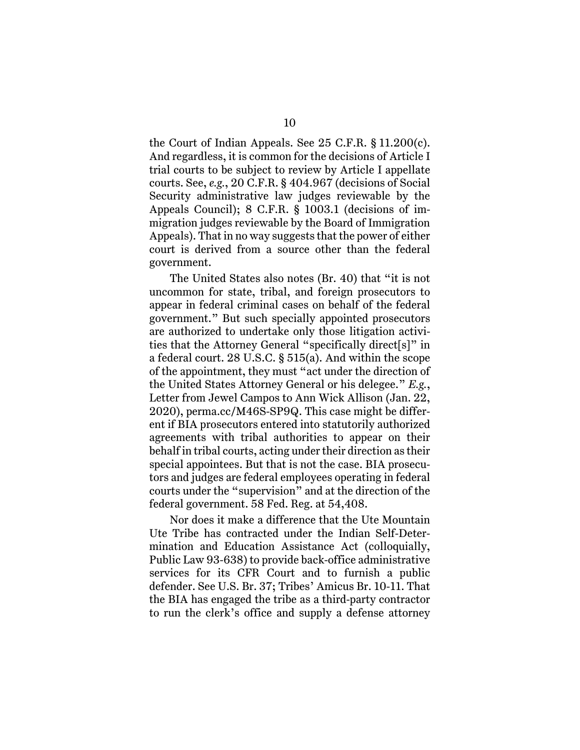the Court of Indian Appeals. See 25 C.F.R. § 11.200(c). And regardless, it is common for the decisions of Article I trial courts to be subject to review by Article I appellate courts. See, *e.g.*, 20 C.F.R. § 404.967 (decisions of Social Security administrative law judges reviewable by the Appeals Council); 8 C.F.R. § 1003.1 (decisions of immigration judges reviewable by the Board of Immigration Appeals). That in no way suggests that the power of either court is derived from a source other than the federal government.

The United States also notes (Br. 40) that "it is not uncommon for state, tribal, and foreign prosecutors to appear in federal criminal cases on behalf of the federal government." But such specially appointed prosecutors are authorized to undertake only those litigation activities that the Attorney General "specifically direct[s]" in a federal court. 28 U.S.C. § 515(a). And within the scope of the appointment, they must "act under the direction of the United States Attorney General or his delegee." *E.g.*, Letter from Jewel Campos to Ann Wick Allison (Jan. 22, 2020), perma.cc/M46S-SP9Q. This case might be different if BIA prosecutors entered into statutorily authorized agreements with tribal authorities to appear on their behalf in tribal courts, acting under their direction as their special appointees. But that is not the case. BIA prosecutors and judges are federal employees operating in federal courts under the "supervision" and at the direction of the federal government. 58 Fed. Reg. at 54,408.

Nor does it make a difference that the Ute Mountain Ute Tribe has contracted under the Indian Self-Determination and Education Assistance Act (colloquially, Public Law 93-638) to provide back-office administrative services for its CFR Court and to furnish a public defender. See U.S. Br. 37; Tribes' Amicus Br. 10-11. That the BIA has engaged the tribe as a third-party contractor to run the clerk's office and supply a defense attorney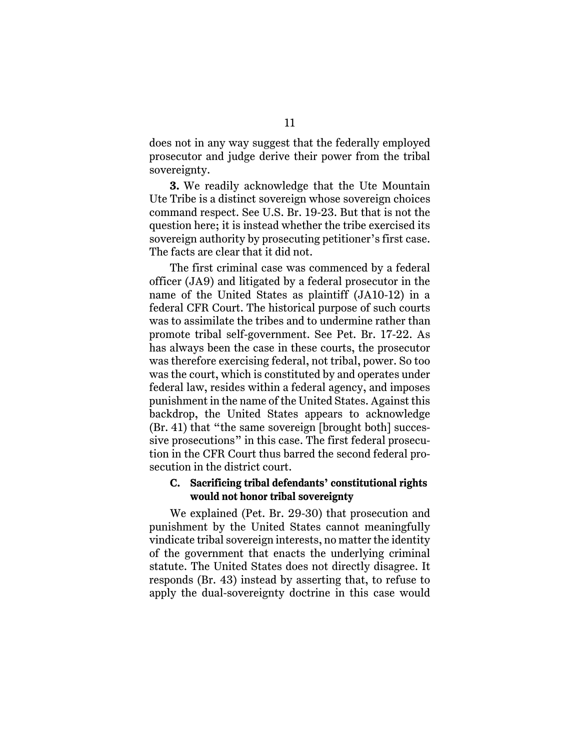does not in any way suggest that the federally employed prosecutor and judge derive their power from the tribal sovereignty.

**3.** We readily acknowledge that the Ute Mountain Ute Tribe is a distinct sovereign whose sovereign choices command respect. See U.S. Br. 19-23. But that is not the question here; it is instead whether the tribe exercised its sovereign authority by prosecuting petitioner's first case. The facts are clear that it did not.

The first criminal case was commenced by a federal officer (JA9) and litigated by a federal prosecutor in the name of the United States as plaintiff (JA10-12) in a federal CFR Court. The historical purpose of such courts was to assimilate the tribes and to undermine rather than promote tribal self-government. See Pet. Br. 17-22. As has always been the case in these courts, the prosecutor was therefore exercising federal, not tribal, power. So too was the court, which is constituted by and operates under federal law, resides within a federal agency, and imposes punishment in the name of the United States. Against this backdrop, the United States appears to acknowledge (Br. 41) that "the same sovereign [brought both] successive prosecutions" in this case. The first federal prosecution in the CFR Court thus barred the second federal prosecution in the district court.

### **C. Sacrificing tribal defendants' constitutional rights would not honor tribal sovereignty**

We explained (Pet. Br. 29-30) that prosecution and punishment by the United States cannot meaningfully vindicate tribal sovereign interests, no matter the identity of the government that enacts the underlying criminal statute. The United States does not directly disagree. It responds (Br. 43) instead by asserting that, to refuse to apply the dual-sovereignty doctrine in this case would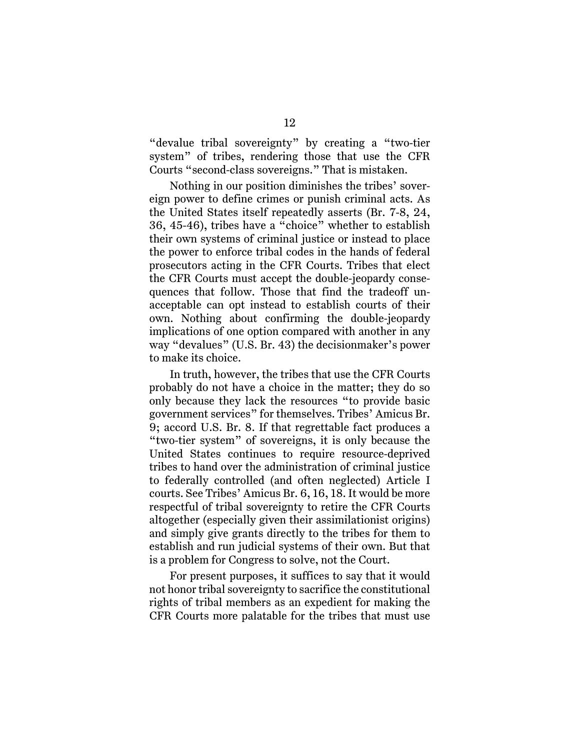"devalue tribal sovereignty" by creating a "two-tier system" of tribes, rendering those that use the CFR Courts "second-class sovereigns." That is mistaken.

Nothing in our position diminishes the tribes' sovereign power to define crimes or punish criminal acts. As the United States itself repeatedly asserts (Br. 7-8, 24, 36, 45-46), tribes have a "choice" whether to establish their own systems of criminal justice or instead to place the power to enforce tribal codes in the hands of federal prosecutors acting in the CFR Courts. Tribes that elect the CFR Courts must accept the double-jeopardy consequences that follow. Those that find the tradeoff unacceptable can opt instead to establish courts of their own. Nothing about confirming the double-jeopardy implications of one option compared with another in any way "devalues" (U.S. Br. 43) the decisionmaker's power to make its choice.

In truth, however, the tribes that use the CFR Courts probably do not have a choice in the matter; they do so only because they lack the resources "to provide basic government services" for themselves. Tribes' Amicus Br. 9; accord U.S. Br. 8. If that regrettable fact produces a "two-tier system" of sovereigns, it is only because the United States continues to require resource-deprived tribes to hand over the administration of criminal justice to federally controlled (and often neglected) Article I courts. See Tribes' Amicus Br. 6, 16, 18. It would be more respectful of tribal sovereignty to retire the CFR Courts altogether (especially given their assimilationist origins) and simply give grants directly to the tribes for them to establish and run judicial systems of their own. But that is a problem for Congress to solve, not the Court.

For present purposes, it suffices to say that it would not honor tribal sovereignty to sacrifice the constitutional rights of tribal members as an expedient for making the CFR Courts more palatable for the tribes that must use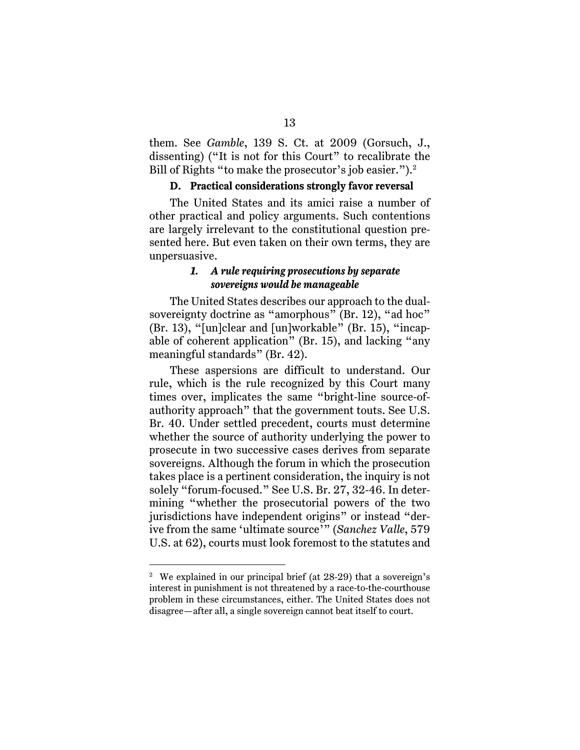them. See *Gamble*, 139 S. Ct. at 2009 (Gorsuch, J., dissenting) ("It is not for this Court" to recalibrate the Bill of Rights "to make the prosecutor's job easier.").<sup>2</sup>

### **D. Practical considerations strongly favor reversal**

The United States and its amici raise a number of other practical and policy arguments. Such contentions are largely irrelevant to the constitutional question presented here. But even taken on their own terms, they are unpersuasive.

## *1. A rule requiring prosecutions by separate sovereigns would be manageable*

The United States describes our approach to the dualsovereignty doctrine as "amorphous" (Br. 12), "ad hoc" (Br. 13), "[un]clear and [un]workable" (Br. 15), "incapable of coherent application" (Br. 15), and lacking "any meaningful standards" (Br. 42).

These aspersions are difficult to understand. Our rule, which is the rule recognized by this Court many times over, implicates the same "bright-line source-ofauthority approach" that the government touts. See U.S. Br. 40. Under settled precedent, courts must determine whether the source of authority underlying the power to prosecute in two successive cases derives from separate sovereigns. Although the forum in which the prosecution takes place is a pertinent consideration, the inquiry is not solely "forum-focused." See U.S. Br. 27, 32-46. In determining "whether the prosecutorial powers of the two jurisdictions have independent origins" or instead "derive from the same 'ultimate source'" (*Sanchez Valle*, 579 U.S. at 62), courts must look foremost to the statutes and

<sup>&</sup>lt;sup>2</sup> We explained in our principal brief (at 28-29) that a sovereign's interest in punishment is not threatened by a race-to-the-courthouse problem in these circumstances, either. The United States does not disagree—after all, a single sovereign cannot beat itself to court.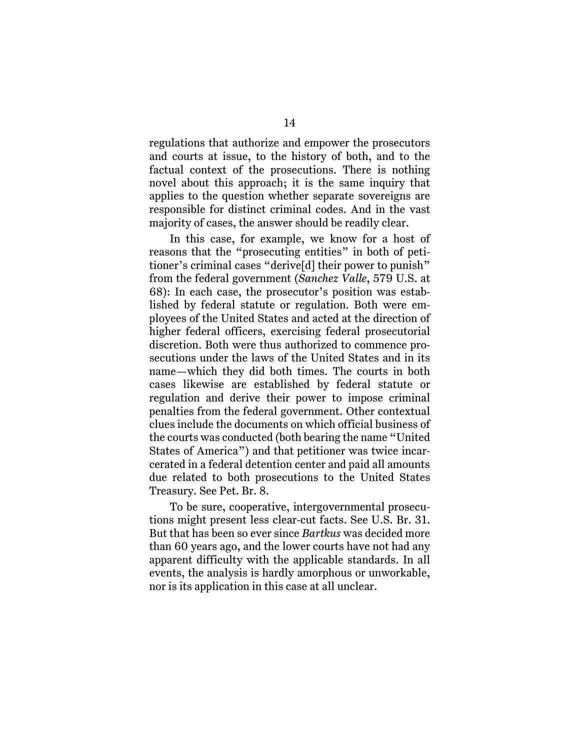regulations that authorize and empower the prosecutors and courts at issue, to the history of both, and to the factual context of the prosecutions. There is nothing novel about this approach; it is the same inquiry that applies to the question whether separate sovereigns are responsible for distinct criminal codes. And in the vast majority of cases, the answer should be readily clear.

In this case, for example, we know for a host of reasons that the "prosecuting entities" in both of petitioner's criminal cases "derive[d] their power to punish" from the federal government (*Sanchez Valle*, 579 U.S. at 68): In each case, the prosecutor's position was established by federal statute or regulation. Both were employees of the United States and acted at the direction of higher federal officers, exercising federal prosecutorial discretion. Both were thus authorized to commence prosecutions under the laws of the United States and in its name—which they did both times. The courts in both cases likewise are established by federal statute or regulation and derive their power to impose criminal penalties from the federal government. Other contextual clues include the documents on which official business of the courts was conducted (both bearing the name "United States of America") and that petitioner was twice incarcerated in a federal detention center and paid all amounts due related to both prosecutions to the United States Treasury. See Pet. Br. 8.

To be sure, cooperative, intergovernmental prosecutions might present less clear-cut facts. See U.S. Br. 31. But that has been so ever since *Bartkus* was decided more than 60 years ago, and the lower courts have not had any apparent difficulty with the applicable standards. In all events, the analysis is hardly amorphous or unworkable, nor is its application in this case at all unclear.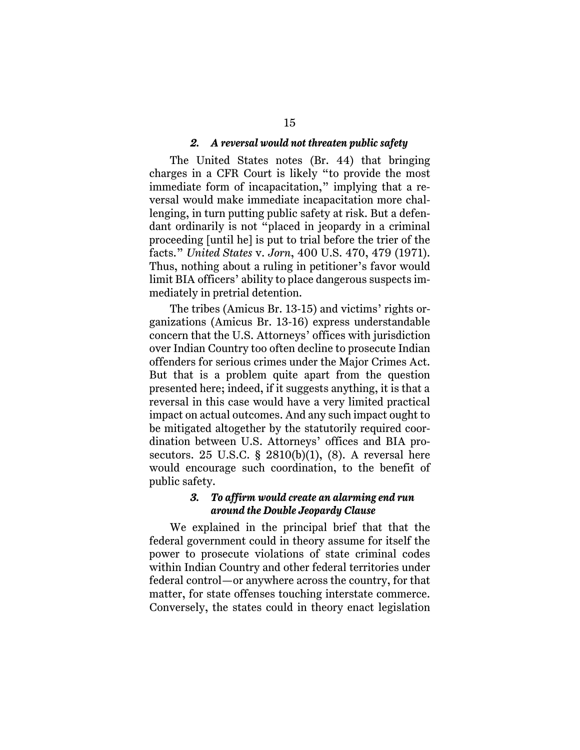#### *2. A reversal would not threaten public safety*

The United States notes (Br. 44) that bringing charges in a CFR Court is likely "to provide the most immediate form of incapacitation," implying that a reversal would make immediate incapacitation more challenging, in turn putting public safety at risk. But a defendant ordinarily is not "placed in jeopardy in a criminal proceeding [until he] is put to trial before the trier of the facts." *United States* v. *Jorn*, 400 U.S. 470, 479 (1971). Thus, nothing about a ruling in petitioner's favor would limit BIA officers' ability to place dangerous suspects immediately in pretrial detention.

The tribes (Amicus Br. 13-15) and victims' rights organizations (Amicus Br. 13-16) express understandable concern that the U.S. Attorneys' offices with jurisdiction over Indian Country too often decline to prosecute Indian offenders for serious crimes under the Major Crimes Act. But that is a problem quite apart from the question presented here; indeed, if it suggests anything, it is that a reversal in this case would have a very limited practical impact on actual outcomes. And any such impact ought to be mitigated altogether by the statutorily required coordination between U.S. Attorneys' offices and BIA prosecutors. 25 U.S.C.  $\S$  2810(b)(1), (8). A reversal here would encourage such coordination, to the benefit of public safety.

## *3. To affirm would create an alarming end run around the Double Jeopardy Clause*

We explained in the principal brief that that the federal government could in theory assume for itself the power to prosecute violations of state criminal codes within Indian Country and other federal territories under federal control—or anywhere across the country, for that matter, for state offenses touching interstate commerce. Conversely, the states could in theory enact legislation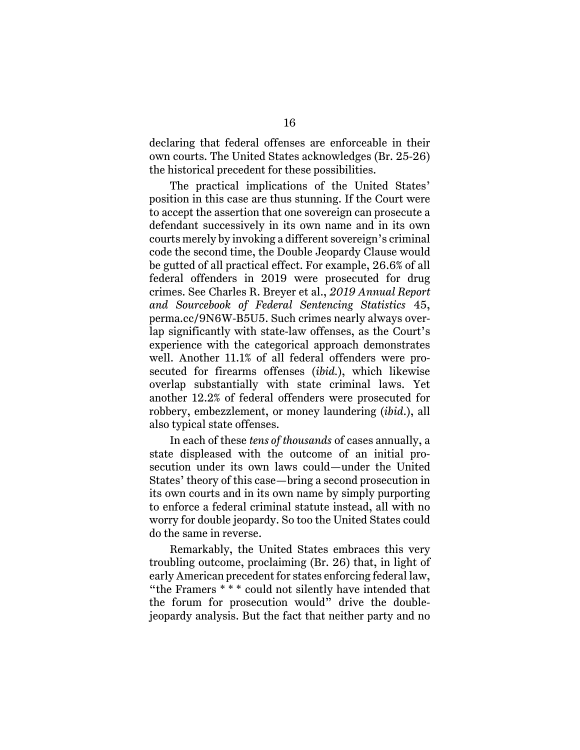declaring that federal offenses are enforceable in their own courts. The United States acknowledges (Br. 25-26) the historical precedent for these possibilities.

The practical implications of the United States' position in this case are thus stunning. If the Court were to accept the assertion that one sovereign can prosecute a defendant successively in its own name and in its own courts merely by invoking a different sovereign's criminal code the second time, the Double Jeopardy Clause would be gutted of all practical effect. For example, 26.6% of all federal offenders in 2019 were prosecuted for drug crimes. See Charles R. Breyer et al., *2019 Annual Report and Sourcebook of Federal Sentencing Statistics* 45, perma.cc/9N6W-B5U5. Such crimes nearly always overlap significantly with state-law offenses, as the Court's experience with the categorical approach demonstrates well. Another 11.1% of all federal offenders were prosecuted for firearms offenses (*ibid.*), which likewise overlap substantially with state criminal laws. Yet another 12.2% of federal offenders were prosecuted for robbery, embezzlement, or money laundering (*ibid*.), all also typical state offenses.

In each of these *tens of thousands* of cases annually, a state displeased with the outcome of an initial prosecution under its own laws could—under the United States' theory of this case—bring a second prosecution in its own courts and in its own name by simply purporting to enforce a federal criminal statute instead, all with no worry for double jeopardy. So too the United States could do the same in reverse.

Remarkably, the United States embraces this very troubling outcome, proclaiming (Br. 26) that, in light of early American precedent for states enforcing federal law, "the Framers \* \* \* could not silently have intended that the forum for prosecution would" drive the doublejeopardy analysis. But the fact that neither party and no